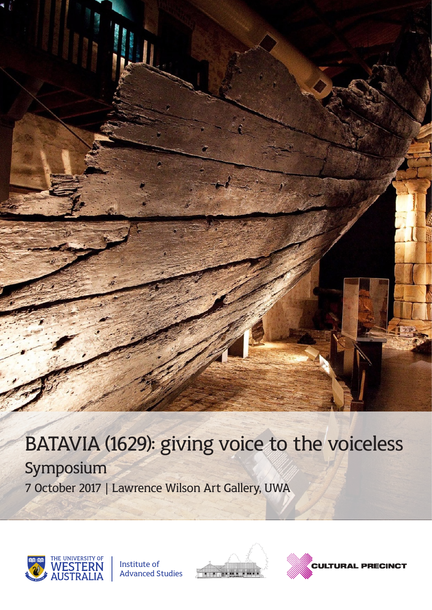# BATAVIA (1629): giving voice to the voiceless

Symposium 7 October 2017 | Lawrence Wilson Art Gallery, UWA







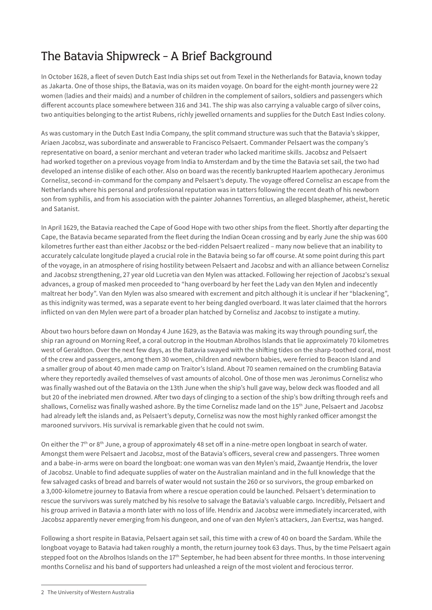## The Batavia Shipwreck - A Brief Background

In October 1628, a fleet of seven Dutch East India ships set out from Texel in the Netherlands for Batavia, known today as Jakarta. One of those ships, the Batavia, was on its maiden voyage. On board for the eight-month journey were 22 women (ladies and their maids) and a number of children in the complement of sailors, soldiers and passengers which different accounts place somewhere between 316 and 341. The ship was also carrying a valuable cargo of silver coins, two antiquities belonging to the artist Rubens, richly jewelled ornaments and supplies for the Dutch East Indies colony.

As was customary in the Dutch East India Company, the split command structure was such that the Batavia's skipper, Ariaen Jacobsz, was subordinate and answerable to Francisco Pelsaert. Commander Pelsaert was the company's representative on board, a senior merchant and veteran trader who lacked maritime skills. Jacobsz and Pelsaert had worked together on a previous voyage from India to Amsterdam and by the time the Batavia set sail, the two had developed an intense dislike of each other. Also on board was the recently bankrupted Haarlem apothecary Jeronimus Cornelisz, second-in-command for the company and Pelsaert's deputy. The voyage offered Cornelisz an escape from the Netherlands where his personal and professional reputation was in tatters following the recent death of his newborn son from syphilis, and from his association with the painter Johannes Torrentius, an alleged blasphemer, atheist, heretic and Satanist.

In April 1629, the Batavia reached the Cape of Good Hope with two other ships from the fleet. Shortly after departing the Cape, the Batavia became separated from the fleet during the Indian Ocean crossing and by early June the ship was 600 kilometres further east than either Jacobsz or the bed-ridden Pelsaert realized – many now believe that an inability to accurately calculate longitude played a crucial role in the Batavia being so far off course. At some point during this part of the voyage, in an atmosphere of rising hostility between Pelsaert and Jacobsz and with an alliance between Cornelisz and Jacobsz strengthening, 27 year old Lucretia van den Mylen was attacked. Following her rejection of Jacobsz's sexual advances, a group of masked men proceeded to "hang overboard by her feet the Lady van den Mylen and indecently maltreat her body". Van den Mylen was also smeared with excrement and pitch although it is unclear if her "blackening", as this indignity was termed, was a separate event to her being dangled overboard. It was later claimed that the horrors inflicted on van den Mylen were part of a broader plan hatched by Cornelisz and Jacobsz to instigate a mutiny.

About two hours before dawn on Monday 4 June 1629, as the Batavia was making its way through pounding surf, the ship ran aground on Morning Reef, a coral outcrop in the Houtman Abrolhos Islands that lie approximately 70 kilometres west of Geraldton. Over the next few days, as the Batavia swayed with the shifting tides on the sharp-toothed coral, most of the crew and passengers, among them 30 women, children and newborn babies, were ferried to Beacon Island and a smaller group of about 40 men made camp on Traitor's Island. About 70 seamen remained on the crumbling Batavia where they reportedly availed themselves of vast amounts of alcohol. One of those men was Jeronimus Cornelisz who was finally washed out of the Batavia on the 13th June when the ship's hull gave way, below deck was flooded and all but 20 of the inebriated men drowned. After two days of clinging to a section of the ship's bow drifting through reefs and shallows, Cornelisz was finally washed ashore. By the time Cornelisz made land on the 15th June, Pelsaert and Jacobsz had already left the islands and, as Pelsaert's deputy, Cornelisz was now the most highly ranked officer amongst the marooned survivors. His survival is remarkable given that he could not swim.

On either the 7<sup>th</sup> or 8<sup>th</sup> June, a group of approximately 48 set off in a nine-metre open longboat in search of water. Amongst them were Pelsaert and Jacobsz, most of the Batavia's officers, several crew and passengers. Three women and a babe-in-arms were on board the longboat: one woman was van den Mylen's maid, Zwaantje Hendrix, the lover of Jacobsz. Unable to find adequate supplies of water on the Australian mainland and in the full knowledge that the few salvaged casks of bread and barrels of water would not sustain the 260 or so survivors, the group embarked on a 3,000-kilometre journey to Batavia from where a rescue operation could be launched. Pelsaert's determination to rescue the survivors was surely matched by his resolve to salvage the Batavia's valuable cargo. Incredibly, Pelsaert and his group arrived in Batavia a month later with no loss of life. Hendrix and Jacobsz were immediately incarcerated, with Jacobsz apparently never emerging from his dungeon, and one of van den Mylen's attackers, Jan Evertsz, was hanged.

Following a short respite in Batavia, Pelsaert again set sail, this time with a crew of 40 on board the Sardam. While the longboat voyage to Batavia had taken roughly a month, the return journey took 63 days. Thus, by the time Pelsaert again stepped foot on the Abrolhos Islands on the 17<sup>th</sup> September, he had been absent for three months. In those intervening months Cornelisz and his band of supporters had unleashed a reign of the most violent and ferocious terror.

<sup>2</sup> The University of Western Australia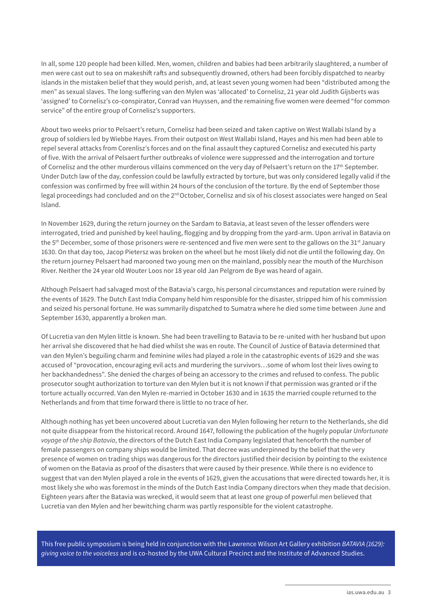In all, some 120 people had been killed. Men, women, children and babies had been arbitrarily slaughtered, a number of men were cast out to sea on makeshift rafts and subsequently drowned, others had been forcibly dispatched to nearby islands in the mistaken belief that they would perish, and, at least seven young women had been "distributed among the men" as sexual slaves. The long-suffering van den Mylen was 'allocated' to Cornelisz, 21 year old Judith Gijsberts was 'assigned' to Cornelisz's co-conspirator, Conrad van Huyssen, and the remaining five women were deemed "for common service" of the entire group of Cornelisz's supporters.

About two weeks prior to Pelsaert's return, Cornelisz had been seized and taken captive on West Wallabi Island by a group of soldiers led by Wiebbe Hayes. From their outpost on West Wallabi Island, Hayes and his men had been able to repel several attacks from Corenlisz's forces and on the final assault they captured Cornelisz and executed his party of five. With the arrival of Pelsaert further outbreaks of violence were suppressed and the interrogation and torture of Cornelisz and the other murderous villains commenced on the very day of Pelsaert's return on the 17th September. Under Dutch law of the day, confession could be lawfully extracted by torture, but was only considered legally valid if the confession was confirmed by free will within 24 hours of the conclusion of the torture. By the end of September those legal proceedings had concluded and on the  $2^{nd}$  October, Cornelisz and six of his closest associates were hanged on Seal Island.

In November 1629, during the return journey on the Sardam to Batavia, at least seven of the lesser offenders were interrogated, tried and punished by keel hauling, flogging and by dropping from the yard-arm. Upon arrival in Batavia on the 5<sup>th</sup> December, some of those prisoners were re-sentenced and five men were sent to the gallows on the 31<sup>st</sup> January 1630. On that day too, Jacop Pietersz was broken on the wheel but he most likely did not die until the following day. On the return journey Pelsaert had marooned two young men on the mainland, possibly near the mouth of the Murchison River. Neither the 24 year old Wouter Loos nor 18 year old Jan Pelgrom de Bye was heard of again.

Although Pelsaert had salvaged most of the Batavia's cargo, his personal circumstances and reputation were ruined by the events of 1629. The Dutch East India Company held him responsible for the disaster, stripped him of his commission and seized his personal fortune. He was summarily dispatched to Sumatra where he died some time between June and September 1630, apparently a broken man.

Of Lucretia van den Mylen little is known. She had been travelling to Batavia to be re-united with her husband but upon her arrival she discovered that he had died whilst she was en route. The Council of Justice of Batavia determined that van den Mylen's beguiling charm and feminine wiles had played a role in the catastrophic events of 1629 and she was accused of "provocation, encouraging evil acts and murdering the survivors…some of whom lost their lives owing to her backhandedness". She denied the charges of being an accessory to the crimes and refused to confess. The public prosecutor sought authorization to torture van den Mylen but it is not known if that permission was granted or if the torture actually occurred. Van den Mylen re-married in October 1630 and in 1635 the married couple returned to the Netherlands and from that time forward there is little to no trace of her.

Although nothing has yet been uncovered about Lucretia van den Mylen following her return to the Netherlands, she did not quite disappear from the historical record. Around 1647, following the publication of the hugely popular *Unfortunate voyage of the ship Batavia*, the directors of the Dutch East India Company legislated that henceforth the number of female passengers on company ships would be limited. That decree was underpinned by the belief that the very presence of women on trading ships was dangerous for the directors justified their decision by pointing to the existence of women on the Batavia as proof of the disasters that were caused by their presence. While there is no evidence to suggest that van den Mylen played a role in the events of 1629, given the accusations that were directed towards her, it is most likely she who was foremost in the minds of the Dutch East India Company directors when they made that decision. Eighteen years after the Batavia was wrecked, it would seem that at least one group of powerful men believed that Lucretia van den Mylen and her bewitching charm was partly responsible for the violent catastrophe.

This free public symposium is being held in conjunction with the Lawrence Wilson Art Gallery exhibition *BATAVIA (1629): giving voice to the voiceless* and is co-hosted by the UWA Cultural Precinct and the Institute of Advanced Studies.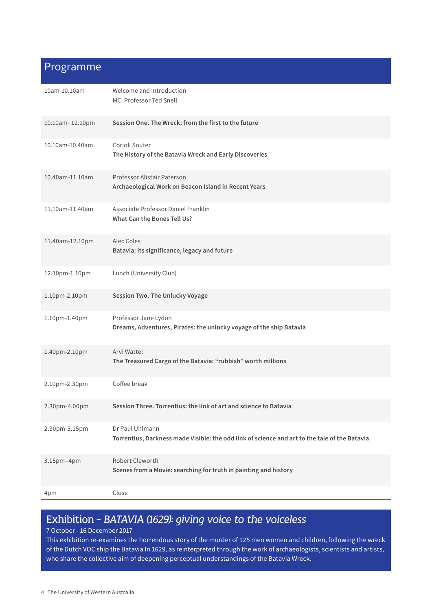### Programme

| 10am-10.10am    | Welcome and Introduction<br>MC: Professor Ted Snell                                                              |
|-----------------|------------------------------------------------------------------------------------------------------------------|
| 10.10am-12.10pm | Session One. The Wreck: from the first to the future                                                             |
| 10.10am-10.40am | Corioli Souter<br>The History of the Batavia Wreck and Early Discoveries                                         |
| 10.40am-11.10am | Professor Alistair Paterson<br>Archaeological Work on Beacon Island in Recent Years                              |
| 11.10am-11.40am | Associate Professor Daniel Franklin<br>What Can the Bones Tell Us?                                               |
| 11.40am-12.10pm | Alec Coles<br>Batavia: its significance, legacy and future                                                       |
| 12.10pm-1.10pm  | Lunch (University Club)                                                                                          |
| 1.10pm-2.10pm   | Session Two. The Unlucky Voyage                                                                                  |
| 1.10pm-1.40pm   | Professor Jane Lydon<br>Dreams, Adventures, Pirates: the unlucky voyage of the ship Batavia                      |
| 1.40pm-2.10pm   | Arvi Wattel<br>The Treasured Cargo of the Batavia: "rubbish" worth millions                                      |
| 2.10pm-2.30pm   | Coffee break                                                                                                     |
| 2.30pm-4.00pm   | Session Three. Torrentius: the link of art and science to Batavia                                                |
| 2.30pm-3.15pm   | Dr Paul Uhlmann<br>Torrentius, Darkness made Visible: the odd link of science and art to the tale of the Batavia |
| 3.15pm-4pm      | Robert Cleworth<br>Scenes from a Movie: searching for truth in painting and history                              |
| 4pm             | Close                                                                                                            |

## Exhibition - *BATAVIA (1629): giving voice to the voiceless*

#### 7 October - 16 December 2017

This exhibition re-examines the horrendous story of the murder of 125 men women and children, following the wreck of the Dutch VOC ship the Batavia In 1629, as reinterpreted through the work of archaeologists, scientists and artists, who share the collective aim of deepening perceptual understandings of the Batavia Wreck.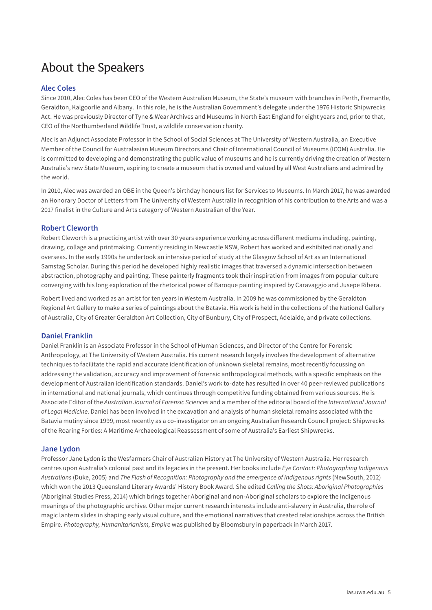## About the Speakers

#### **Alec Coles**

Since 2010, Alec Coles has been CEO of the Western Australian Museum, the State's museum with branches in Perth, Fremantle, Geraldton, Kalgoorlie and Albany. In this role, he is the Australian Government's delegate under the 1976 Historic Shipwrecks Act. He was previously Director of Tyne & Wear Archives and Museums in North East England for eight years and, prior to that, CEO of the Northumberland Wildlife Trust, a wildlife conservation charity.

Alec is an Adjunct Associate Professor in the School of Social Sciences at The University of Western Australia, an Executive Member of the Council for Australasian Museum Directors and Chair of International Council of Museums (ICOM) Australia. He is committed to developing and demonstrating the public value of museums and he is currently driving the creation of Western Australia's new State Museum, aspiring to create a museum that is owned and valued by all West Australians and admired by the world.

In 2010, Alec was awarded an OBE in the Queen's birthday honours list for Services to Museums. In March 2017, he was awarded an Honorary Doctor of Letters from The University of Western Australia in recognition of his contribution to the Arts and was a 2017 finalist in the Culture and Arts category of Western Australian of the Year.

#### **Robert Cleworth**

Robert Cleworth is a practicing artist with over 30 years experience working across different mediums including, painting, drawing, collage and printmaking. Currently residing in Newcastle NSW, Robert has worked and exhibited nationally and overseas. In the early 1990s he undertook an intensive period of study at the Glasgow School of Art as an International Samstag Scholar. During this period he developed highly realistic images that traversed a dynamic intersection between abstraction, photography and painting. These painterly fragments took their inspiration from images from popular culture converging with his long exploration of the rhetorical power of Baroque painting inspired by Caravaggio and Jusepe Ribera.

Robert lived and worked as an artist for ten years in Western Australia. In 2009 he was commissioned by the Geraldton Regional Art Gallery to make a series of paintings about the Batavia. His work is held in the collections of the National Gallery of Australia, City of Greater Geraldton Art Collection, City of Bunbury, City of Prospect, Adelaide, and private collections.

#### **Daniel Franklin**

Daniel Franklin is an Associate Professor in the School of Human Sciences, and Director of the Centre for Forensic Anthropology, at The University of Western Australia. His current research largely involves the development of alternative techniques to facilitate the rapid and accurate identification of unknown skeletal remains, most recently focussing on addressing the validation, accuracy and improvement of forensic anthropological methods, with a specific emphasis on the development of Australian identification standards. Daniel's work to-date has resulted in over 40 peer-reviewed publications in international and national journals, which continues through competitive funding obtained from various sources. He is Associate Editor of the *Australian Journal of Forensic Sciences* and a member of the editorial board of the *International Journal of Legal Medicine*. Daniel has been involved in the excavation and analysis of human skeletal remains associated with the Batavia mutiny since 1999, most recently as a co-investigator on an ongoing Australian Research Council project: Shipwrecks of the Roaring Forties: A Maritime Archaeological Reassessment of some of Australia's Earliest Shipwrecks.

#### **Jane Lydon**

Professor Jane Lydon is the Wesfarmers Chair of Australian History at The University of Western Australia. Her research centres upon Australia's colonial past and its legacies in the present. Her books include *Eye Contact: Photographing Indigenous Australians* (Duke, 2005) and *The Flash of Recognition: Photography and the emergence of Indigenous rights* (NewSouth, 2012) which won the 2013 Queensland Literary Awards' History Book Award. She edited *Calling the Shots: Aboriginal Photographies* (Aboriginal Studies Press, 2014) which brings together Aboriginal and non-Aboriginal scholars to explore the Indigenous meanings of the photographic archive. Other major current research interests include anti-slavery in Australia, the role of magic lantern slides in shaping early visual culture, and the emotional narratives that created relationships across the British Empire. *Photography, Humanitarianism, Empire* was published by Bloomsbury in paperback in March 2017.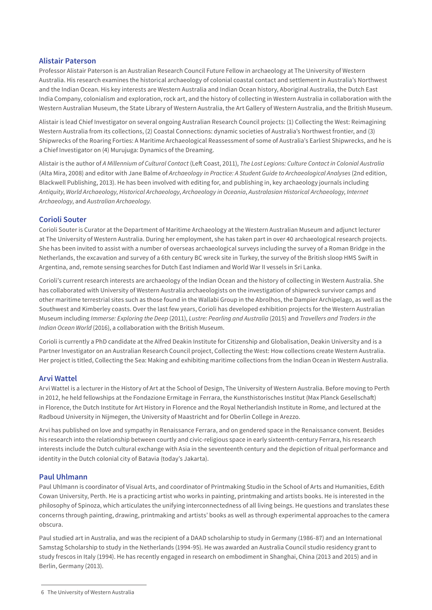#### **Alistair Paterson**

Professor Alistair Paterson is an Australian Research Council Future Fellow in archaeology at The University of Western Australia. His research examines the historical archaeology of colonial coastal contact and settlement in Australia's Northwest and the Indian Ocean. His key interests are Western Australia and Indian Ocean history, Aboriginal Australia, the Dutch East India Company, colonialism and exploration, rock art, and the history of collecting in Western Australia in collaboration with the Western Australian Museum, the State Library of Western Australia, the Art Gallery of Western Australia, and the British Museum.

Alistair is lead Chief Investigator on several ongoing Australian Research Council projects: (1) Collecting the West: Reimagining Western Australia from its collections, (2) Coastal Connections: dynamic societies of Australia's Northwest frontier, and (3) Shipwrecks of the Roaring Forties: A Maritime Archaeological Reassessment of some of Australia's Earliest Shipwrecks, and he is a Chief Investigator on (4) Murujuga: Dynamics of the Dreaming.

Alistair is the author of *A Millennium of Cultural Contact* (Left Coast, 2011), *The Lost Legions: Culture Contact in Colonial Australia* (Alta Mira, 2008) and editor with Jane Balme of *Archaeology in Practice: A Student Guide to Archaeological Analyses* (2nd edition, Blackwell Publishing, 2013). He has been involved with editing for, and publishing in, key archaeology journals including *Antiquity*, *World Archaeology*, *Historical Archaeology*, *Archaeology in Oceania*, *Australasian Historical Archaeology*, *Internet Archaeology*, and *Australian Archaeology*.

#### **Corioli Souter**

Corioli Souter is Curator at the Department of Maritime Archaeology at the Western Australian Museum and adjunct lecturer at The University of Western Australia. During her employment, she has taken part in over 40 archaeological research projects. She has been invited to assist with a number of overseas archaeological surveys including the survey of a Roman Bridge in the Netherlands, the excavation and survey of a 6th century BC wreck site in Turkey, the survey of the British sloop HMS Swift in Argentina, and, remote sensing searches for Dutch East Indiamen and World War II vessels in Sri Lanka.

Corioli's current research interests are archaeology of the Indian Ocean and the history of collecting in Western Australia. She has collaborated with University of Western Australia archaeologists on the investigation of shipwreck survivor camps and other maritime terrestrial sites such as those found in the Wallabi Group in the Abrolhos, the Dampier Archipelago, as well as the Southwest and Kimberley coasts. Over the last few years, Corioli has developed exhibition projects for the Western Australian Museum including *Immerse: Exploring the Deep* (2011), *Lustre: Pearling and Australia* (2015) and *Travellers and Traders in the Indian Ocean World* (2016), a collaboration with the British Museum.

Corioli is currently a PhD candidate at the Alfred Deakin Institute for Citizenship and Globalisation, Deakin University and is a Partner Investigator on an Australian Research Council project, Collecting the West: How collections create Western Australia. Her project is titled, Collecting the Sea: Making and exhibiting maritime collections from the Indian Ocean in Western Australia.

#### **Arvi Wattel**

Arvi Wattel is a lecturer in the History of Art at the School of Design, The University of Western Australia. Before moving to Perth in 2012, he held fellowships at the Fondazione Ermitage in Ferrara, the Kunsthistorisches Institut (Max Planck Gesellschaft) in Florence, the Dutch Institute for Art History in Florence and the Royal Netherlandish Institute in Rome, and lectured at the Radboud University in Nijmegen, the University of Maastricht and for Oberlin College in Arezzo.

Arvi has published on love and sympathy in Renaissance Ferrara, and on gendered space in the Renaissance convent. Besides his research into the relationship between courtly and civic-religious space in early sixteenth-century Ferrara, his research interests include the Dutch cultural exchange with Asia in the seventeenth century and the depiction of ritual performance and identity in the Dutch colonial city of Batavia (today's Jakarta).

#### **Paul Uhlmann**

Paul Uhlmann is coordinator of Visual Arts, and coordinator of Printmaking Studio in the School of Arts and Humanities, Edith Cowan University, Perth. He is a practicing artist who works in painting, printmaking and artists books. He is interested in the philosophy of Spinoza, which articulates the unifying interconnectedness of all living beings. He questions and translates these concerns through painting, drawing, printmaking and artists' books as well as through experimental approaches to the camera obscura.

Paul studied art in Australia, and was the recipient of a DAAD scholarship to study in Germany (1986-87) and an International Samstag Scholarship to study in the Netherlands (1994-95). He was awarded an Australia Council studio residency grant to study frescos in Italy (1994). He has recently engaged in research on embodiment in Shanghai, China (2013 and 2015) and in Berlin, Germany (2013).

<sup>6</sup> The University of Western Australia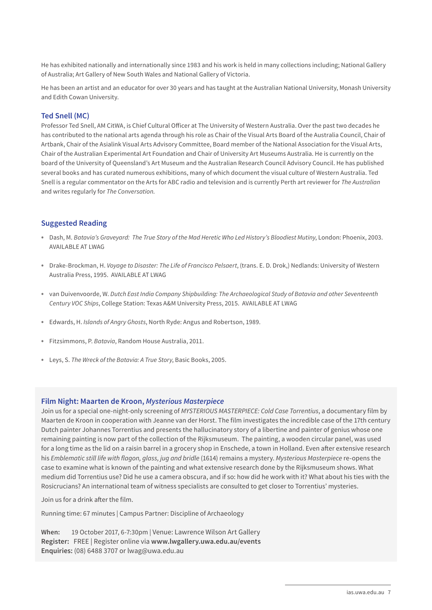He has exhibited nationally and internationally since 1983 and his work is held in many collections including; National Gallery of Australia; Art Gallery of New South Wales and National Gallery of Victoria.

He has been an artist and an educator for over 30 years and has taught at the Australian National University, Monash University and Edith Cowan University.

#### **Ted Snell (MC)**

Professor Ted Snell, AM CitWA, is Chief Cultural Officer at The University of Western Australia. Over the past two decades he has contributed to the national arts agenda through his role as Chair of the Visual Arts Board of the Australia Council, Chair of Artbank, Chair of the Asialink Visual Arts Advisory Committee, Board member of the National Association for the Visual Arts, Chair of the Australian Experimental Art Foundation and Chair of University Art Museums Australia. He is currently on the board of the University of Queensland's Art Museum and the Australian Research Council Advisory Council. He has published several books and has curated numerous exhibitions, many of which document the visual culture of Western Australia. Ted Snell is a regular commentator on the Arts for ABC radio and television and is currently Perth art reviewer for *The Australian* and writes regularly for *The Conversation*.

#### **Suggested Reading**

- **•** Dash, M. *Batavia's Graveyard: The True Story of the Mad Heretic Who Led History's Bloodiest Mutiny*, London: Phoenix, 2003. AVAILABLE AT LWAG
- **•** Drake-Brockman, H. *Voyage to Disaster: The Life of Francisco Pelsaert*, (trans. E. D. Drok,) Nedlands: University of Western Australia Press, 1995. AVAILABLE AT LWAG
- **•** van Duivenvoorde, W. *Dutch East India Company Shipbuilding: The Archaeological Study of Batavia and other Seventeenth Century VOC Ships*, College Station: Texas A&M University Press, 2015. AVAILABLE AT LWAG
- **•** Edwards, H. *Islands of Angry Ghosts*, North Ryde: Angus and Robertson, 1989.
- **•** Fitzsimmons, P. *Batavia*, Random House Australia, 2011.
- **•** Leys, S. *The Wreck of the Batavia: A True Story*, Basic Books, 2005.

#### **Film Night: Maarten de Kroon,** *Mysterious Masterpiece*

Join us for a special one-night-only screening of *MYSTERIOUS MASTERPIECE: Cold Case Torrentius*, a documentary film by Maarten de Kroon in cooperation with Jeanne van der Horst. The film investigates the incredible case of the 17th century Dutch painter Johannes Torrentius and presents the hallucinatory story of a libertine and painter of genius whose one remaining painting is now part of the collection of the Rijksmuseum. The painting, a wooden circular panel, was used for a long time as the lid on a raisin barrel in a grocery shop in Enschede, a town in Holland. Even after extensive research his Emblematic still life with flagon, glass, jug and bridle (1614) remains a mystery. *Mysterious Masterpiece* re-opens the case to examine what is known of the painting and what extensive research done by the Rijksmuseum shows. What medium did Torrentius use? Did he use a camera obscura, and if so: how did he work with it? What about his ties with the Rosicrucians? An international team of witness specialists are consulted to get closer to Torrentius' mysteries.

Join us for a drink after the film.

Running time: 67 minutes | Campus Partner: Discipline of Archaeology

**When:** 19 October 2017, 6-7:30pm | Venue: Lawrence Wilson Art Gallery **Register:** FREE | Register online via **www.lwgallery.uwa.edu.au/events Enquiries:** (08) 6488 3707 or lwag@uwa.edu.au